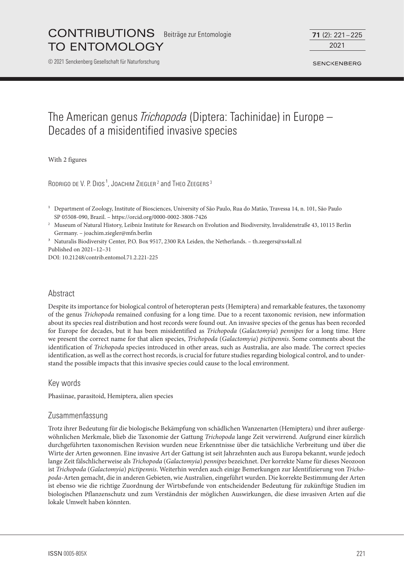© 2021 Senckenberg Gesellschaft für Naturforschung

2021 **71** (2): 221–225

**SENCKENBERG** 

# The American genus *Trichopoda* (Diptera: Tachinidae) in Europe – Decades of a misidentified invasive species

With 2 figures

RODRIGO DE V. P. DIOS<sup>1</sup>, JOACHIM ZIEGLER<sup>2</sup> and THEO ZEEGERS<sup>3</sup>

<sup>2</sup> Museum of Natural History, Leibniz Institute for Research on Evolution and Biodiversity, Invalidenstraße 43, 10115 Berlin Germany. – joachim.ziegler@mfn.berlin

<sup>3</sup> Naturalis Biodiversity Center, P.O. Box 9517, 2300 RA Leiden, the Netherlands. - th.zeegers@xs4all.nl Published on 2021–12–31

DOI: 10.21248/contrib.entomol.71.2.221-225

## Abstract

Despite its importance for biological control of heteropteran pests (Hemiptera) and remarkable features, the taxonomy of the genus *Trichopoda* remained confusing for a long time. Due to a recent taxonomic revision, new information about its species real distribution and host records were found out. An invasive species of the genus has been recorded for Europe for decades, but it has been misidentified as *Trichopoda* (*Galactomyia*) *pennipes* for a long time. Here we present the correct name for that alien species, *Trichopoda* (*Galactomyia*) *pictipennis*. Some comments about the identification of *Trichopoda* species introduced in other areas, such as Australia, are also made. The correct species identification, as well as the correct host records, is crucial for future studies regarding biological control, and to understand the possible impacts that this invasive species could cause to the local environment.

Key words

Phasiinae, parasitoid, Hemiptera, alien species

## Zusammenfassung

Trotz ihrer Bedeutung für die biologische Bekämpfung von schädlichen Wanzenarten (Hemiptera) und ihrer außergewöhnlichen Merkmale, blieb die Taxonomie der Gattung *Trichopoda* lange Zeit verwirrend. Aufgrund einer kürzlich durchgeführten taxonomischen Revision wurden neue Erkenntnisse über die tatsächliche Verbreitung und über die Wirte der Arten gewonnen. Eine invasive Art der Gattung ist seit Jahrzehnten auch aus Europa bekannt, wurde jedoch lange Zeit fälschlicherweise als *Trichopoda* (*Galactomyia*) *pennipes* bezeichnet. Der korrekte Name für dieses Neozoon ist *Trichopoda* (*Galactomyia*) *pictipennis*. Weiterhin werden auch einige Bemerkungen zur Identifizierung von *Trichopoda*-Arten gemacht, die in anderen Gebieten, wie Australien, eingeführt wurden. Die korrekte Bestimmung der Arten ist ebenso wie die richtige Zuordnung der Wirtsbefunde von entscheidender Bedeutung für zukünftige Studien im biologischen Pflanzenschutz und zum Verständnis der möglichen Auswirkungen, die diese invasiven Arten auf die lokale Umwelt haben könnten.

<sup>&</sup>lt;sup>1</sup> Department of Zoology, Institute of Biosciences, University of São Paulo, Rua do Matão, Travessa 14, n. 101, São Paulo SP 05508-090, Brazil. – https://orcid.org/0000-0002-3808-7426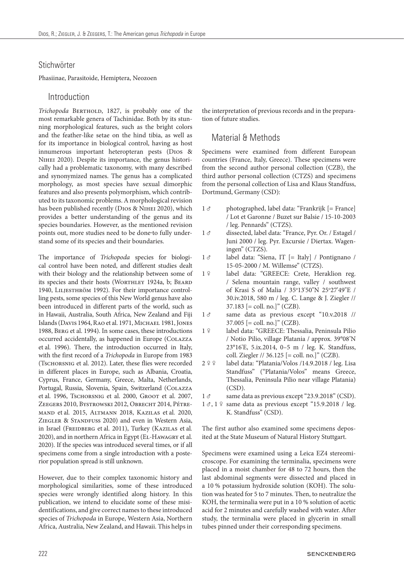#### **Stichwörter**

Phasiinae, Parasitoide, Hemiptera, Neozoen

# Introduction

*Trichopoda* BERTHOLD, 1827, is probably one of the most remarkable genera of Tachinidae. Both by its stunning morphological features, such as the bright colors and the feather-like setae on the hind tibia, as well as for its importance in biological control, having as host innumerous important heteropteran pests (Dios & Nihei 2020). Despite its importance, the genus historically had a problematic taxonomy, with many described and synonymized names. The genus has a complicated morphology, as most species have sexual dimorphic features and also presents polymorphism, which contributed to its taxonomic problems. A morphological revision has been published recently (DIOS & NIHEI 2020), which provides a better understanding of the genus and its species boundaries. However, as the mentioned revision points out, more studies need to be done to fully understand some of its species and their boundaries.

The importance of *Trichopoda* species for biological control have been noted, and different studies dealt with their biology and the relationship between some of its species and their hosts (Worthley 1924a, b; Beard 1940, LILJESTHRÖM 1992). For their importance controlling pests, some species of this New World genus have also been introduced in different parts of the world, such as in Hawaii, Australia, South Africa, New Zealand and Fiji Islands (DAVIS 1964, RAO et al. 1971, MICHAEL 1981, JONES 1988, Berg et al. 1994). In some cases, these introductions occurred accidentally, as happened in Europe (Colazza et al. 1996). There, the introduction occurred in Italy, with the first record of a *Trichopoda* in Europe from 1983 (Tschorsnig et al. 2012). Later, these flies were recorded in different places in Europe, such as Albania, Croatia, Cyprus, France, Germany, Greece, Malta, Netherlands, Portugal, Russia, Slovenia, Spain, Switzerland (COLAZZA et al. 1996, Tschorsnig et al. 2000, Groot et al. 2007, Zeegers 2010, Bystrowski 2012, Obrecht 2014, Pétremand et al*.* 2015, Altmann 2018, Kazilas et al*.* 2020, ZIEGLER & STANDFUSS 2020) and even in Western Asia, in Israel (FREIDBERG et al. 2011), Turkey (KAZILAS et al. 2020), and in northern Africa in Egypt (El-Hawagry et al*.* 2020). If the species was introduced several times, or if all specimens come from a single introduction with a posterior population spread is still unknown.

However, due to their complex taxonomic history and morphological similarities, some of these introduced species were wrongly identified along history. In this publication, we intend to elucidate some of these misidentifications, and give correct names to these introduced species of *Trichopoda* in Europe, Western Asia, Northern Africa, Australia, New Zealand, and Hawaii. This helps in the interpretation of previous records and in the preparation of future studies.

# Material & Methods

Specimens were examined from different European countries (France, Italy, Greece). These specimens were from the second author personal collection (CZB), the third author personal collection (CTZS) and specimens from the personal collection of Lisa and Klaus Standfuss, Dortmund, Germany (CSD):

- $1 \, \sigma$  photographed, label data: "Frankrijk [= France] / Lot et Garonne / Buzet sur Balsie / 15-10-2003 / leg. Pennards" (CTZS).
- 1 d dissected, label data: "France, Pyr. Or. / Estagel / Juni 2000 / leg. Pyr. Excursie / Diertax. Wageningen" (CTZS).
- $1 \circ$  label data: "Siena, IT  $[=$  Italy] / Pontignano / 15-05-2000 / M. Willemse" (CTZS).
- 1 º label data: "GREECE: Crete, Heraklion reg. / Selena mountain range, valley / southwest of Krasi S of Malia / 35°13'50"N 25°27'49"E / 30.iv.2018, 580 m / leg. C. Lange & J. Ziegler //  $37.183$  [= coll. no.]" (CZB).
- 1 d same data as previous except "10.v.2018 // 37.005 [= coll. no.]" (CZB).
- 1 º label data: "GREECE: Thessalia, Peninsula Pilio / Notio Pilio, village Platania / approx. 39°08'N 23°16'E, 5.ix.2014, 0–5 m / leg. K. Standfuss, coll. Ziegler // 36.125 [= coll. no.]" (CZB).
- 2 º º label data: "Platania/Volos /14.9.2018 / leg. Lisa Standfuss" ("Platania/Volos" means Greece, Thessalia, Peninsula Pilio near village Platania) (CSD).
- 1  $\sigma$  same data as previous except "23.9.2018" (CSD).
- $1 \sigma$ ,  $1 \Omega$  same data as previous except "15.9.2018 / leg. K. Standfuss" (CSD).

The first author also examined some specimens deposited at the State Museum of Natural History Stuttgart.

Specimens were examined using a Leica EZ4 stereomicroscope. For examining the terminalia, specimens were placed in a moist chamber for 48 to 72 hours, then the last abdominal segments were dissected and placed in a 10 % potassium hydroxide solution (KOH). The solution was heated for 5 to 7 minutes. Then, to neutralize the KOH, the terminalia were put in a 10 % solution of acetic acid for 2 minutes and carefully washed with water. After study, the terminalia were placed in glycerin in small tubes pinned under their corresponding specimens.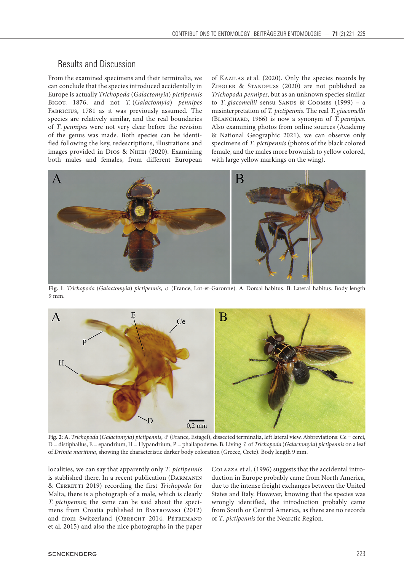# Results and Discussion

From the examined specimens and their terminalia, we can conclude that the species introduced accidentally in Europe is actually *Trichopoda* (*Galactomyia*) *pictipennis* Bigot, 1876, and not *T.* (*Galactomyia*) *pennipes* Fabricius, 1781 as it was previously assumed. The species are relatively similar, and the real boundaries of *T*. *pennipes* were not very clear before the revision of the genus was made. Both species can be identified following the key, redescriptions, illustrations and images provided in Dios & Nihei (2020). Examining both males and females, from different European

of Kazilas et al. (2020). Only the species records by ZIEGLER & STANDFUSS (2020) are not published as *Trichopoda pennipes*, but as an unknown species similar to *T. giacomellii* sensu SANDS & COOMBS (1999) – a misinterpretation of *T. pictipennis*. The real *T. giacomellii* (Blanchard, 1966) is now a synonym of *T. pennipes*. Also examining photos from online sources (Academy & National Geographic 2021), we can observe only specimens of *T*. *pictipennis* (photos of the black colored female, and the males more brownish to yellow colored, with large yellow markings on the wing).



**Fig. 1**: *Trichopoda* (*Galactomyia*) *pictipennis*, (France, Lot-et-Garonne). **A**. Dorsal habitus. **B**. Lateral habitus. Body length 9 mm.



**Fig. 2**: **A**. *Trichopoda* (*Galactomyia*) *pictipennis*, (France, Estagel), dissected terminalia, left lateral view. Abbreviations: Ce = cerci, D = distiphallus, E = epandrium, H = Hypandrium, P = phallapodeme. B. Living  $\varphi$  of *Trichopoda* (*Galactomyia*) *pictipennis* on a leaf of *Drimia maritima*, showing the characteristic darker body coloration (Greece, Crete). Body length 9 mm.

localities, we can say that apparently only *T*. *pictipennis* is stablished there. In a recent publication (Darmanin & Cerretti 2019) recording the first *Trichopoda* for Malta, there is a photograph of a male, which is clearly *T*. *pictipennis*; the same can be said about the specimens from Croatia published in Bystrowski (2012) and from Switzerland (OBRECHT 2014, PÉTREMAND et al. 2015) and also the nice photographs in the paper

Colazza et al. (1996) suggests that the accidental introduction in Europe probably came from North America, due to the intense freight exchanges between the United States and Italy. However, knowing that the species was wrongly identified, the introduction probably came from South or Central America, as there are no records of *T*. *pictipennis* for the Nearctic Region.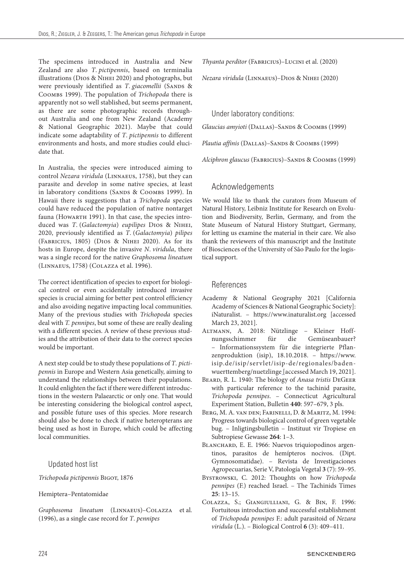The specimens introduced in Australia and New Zealand are also *T*. *pictipennis*, based on terminalia illustrations (Dios & Nihei 2020) and photographs, but were previously identified as *T. giacomellii* (SANDS & Coombs 1999). The population of *Trichopoda* there is apparently not so well stablished, but seems permanent, as there are some photographic records throughout Australia and one from New Zealand (Academy & National Geographic 2021). Maybe that could indicate some adaptability of *T*. *pictipennis* to different environments and hosts, and more studies could elucidate that.

In Australia, the species were introduced aiming to control *Nezara viridula* (Linnaeus, 1758), but they can parasite and develop in some native species, at least in laboratory conditions (SANDS & COOMBS 1999). In Hawaii there is suggestions that a *Trichopoda* species could have reduced the population of native nontarget fauna (Ноwавтн 1991). In that case, the species introduced was *T*. (*Galactomyia*) *eupilipes* Dios & Nihei, 2020, previously identified as *T*. (*Galactomyia*) *pilipes* (Fabricius, 1805) (Dios & Nihei 2020). As for its hosts in Europe, despite the invasive *N*. *viridula*, there was a single record for the native *Graphosoma lineatum* (Linnaeus, 1758) (Colazza et al. 1996).

The correct identification of species to export for biological control or even accidentally introduced invasive species is crucial aiming for better pest control efficiency and also avoiding negative impacting local communities. Many of the previous studies with *Trichopoda* species deal with *T. pennipes*, but some of these are really dealing with a different species. A review of these previous studies and the attribution of their data to the correct species would be important.

A next step could be to study these populations of *T*. *pictipennis* in Europe and Western Asia genetically, aiming to understand the relationships between their populations. It could enlighten the fact if there were different introductions in the western Palaearctic or only one. That would be interesting considering the biological control aspect, and possible future uses of this species. More research should also be done to check if native heteropterans are being used as host in Europe, which could be affecting local communities.

#### Updated host list

*Trichopoda pictipennis* Bigot, 1876

Hemiptera–Pentatomidae

*Graphosoma lineatum* (Linnaeus)–Colazza et al*.* (1996), as a single case record for *T*. *pennipes*

*Thyanta perditor* (Fabricius)–Lucini et al. (2020)

*Nezara viridula* (Linnaeus)–Dios & Nihei (2020)

Under laboratory conditions:

*Glaucias amyioti* (Dallas)–Sands & Coombs (1999)

*Plautia affinis* (Dallas)–Sands & Coombs (1999)

*Alciphron glaucus* (Fabricius)–Sands & Coombs (1999)

# Acknowledgements

We would like to thank the curators from Museum of Natural History, Leibniz Institute for Research on Evolution and Biodiversity, Berlin, Germany, and from the State Museum of Natural History Stuttgart, Germany, for letting us examine the material in their care. We also thank the reviewers of this manuscript and the Institute of Biosciences of the University of São Paulo for the logistical support.

### References

- Academy & National Geography 2021 [California Academy of Sciences & National Geographic Society]: iNaturalist. – https://www.inaturalist.org [accessed March 23, 2021].
- Altmann, A. 2018: Nützlinge Kleiner Hoffnungsschimmer für die Gemüseanbauer? – Informationssystem für die integrierte Pflanzenproduktion (isip), 18.10.2018. – https://www. isip.de/isip/servlet/isip-de/regionales/badenwuerttemberg/nuetzlinge [accessed March 19, 2021].
- Beard, R. L. 1940: The biology of *Anasa tristis* DeGeer with particular reference to the tachinid parasite, *Trichopoda pennipes*. – Connecticut Agricultural Experiment Station, Bulletin **440**: 597–679, 3 pls.
- Berg, M. A. van den; Farinelli, D. & Maritz, M. 1994: Progress towards biological control of green vegetable bug. – Inligtingsbulletin – Instituut vir Tropiese en Subtropiese Gewasse **264**: 1–3.
- BLANCHARD, E. E. 1966: Nuevos triquiopodinos argentinos, parasitos de hemípteros nocivos. (Dipt. Gymnosomatidae). – Revista de Investigaciones Agropecuarias, Serie V, Patología Vegetal **3** (7): 59–95.
- Bystrowski, C. 2012: Thoughts on how *Trichopoda pennipes* (F.) reached Israel. – The Tachinids Times **25**: 13–15.
- Colazza, S.; Giangiulliani, G. & Bin, F. 1996: Fortuitous introduction and successful establishment of *Trichopoda pennipes* F.: adult parasitoid of *Nezara viridula* (L.). – Biological Control **6** (3): 409–411.